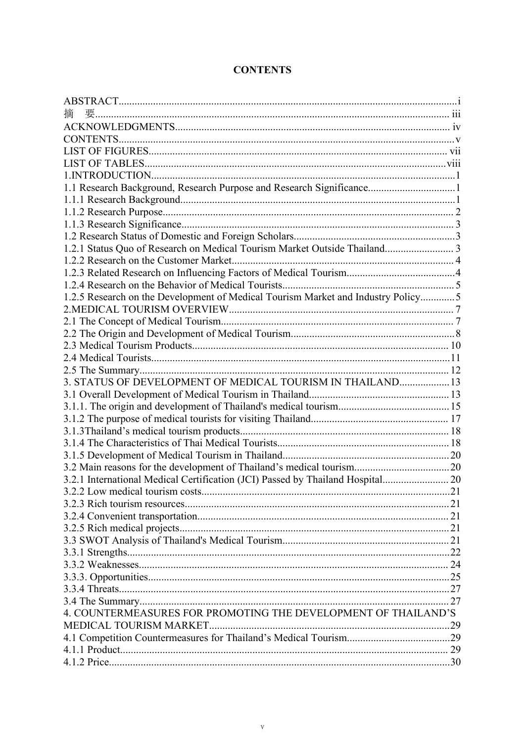| 櫹                                                                                 |     |
|-----------------------------------------------------------------------------------|-----|
|                                                                                   |     |
|                                                                                   |     |
|                                                                                   |     |
|                                                                                   |     |
|                                                                                   |     |
| 1.1 Research Background, Research Purpose and Research Significance1              |     |
|                                                                                   |     |
|                                                                                   |     |
|                                                                                   |     |
|                                                                                   |     |
| 1.2.1 Status Quo of Research on Medical Tourism Market Outside Thailand 3         |     |
|                                                                                   |     |
|                                                                                   |     |
|                                                                                   |     |
| 1.2.5 Research on the Development of Medical Tourism Market and Industry Policy 5 |     |
|                                                                                   |     |
|                                                                                   |     |
|                                                                                   |     |
|                                                                                   |     |
|                                                                                   |     |
|                                                                                   |     |
| 3. STATUS OF DEVELOPMENT OF MEDICAL TOURISM IN THAILAND 13                        |     |
|                                                                                   |     |
|                                                                                   |     |
|                                                                                   |     |
|                                                                                   |     |
|                                                                                   |     |
|                                                                                   |     |
|                                                                                   |     |
| 3.2.1 International Medical Certification (JCI) Passed by Thailand Hospital 20    |     |
|                                                                                   | .21 |
|                                                                                   |     |
|                                                                                   |     |
|                                                                                   |     |
|                                                                                   |     |
|                                                                                   |     |
|                                                                                   |     |
|                                                                                   |     |
|                                                                                   |     |
|                                                                                   |     |
| 4. COUNTERMEASURES FOR PROMOTING THE DEVELOPMENT OF THAILAND'S                    |     |
|                                                                                   |     |
|                                                                                   |     |
|                                                                                   |     |
|                                                                                   |     |

## **CONTENTS**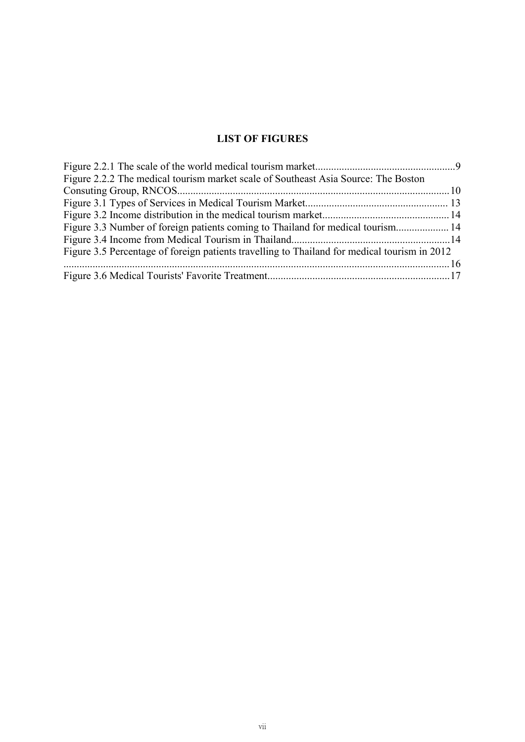## <span id="page-2-0"></span>**LIST OF FIGURES**

| Figure 2.2.2 The medical tourism market scale of Southeast Asia Source: The Boston           |  |
|----------------------------------------------------------------------------------------------|--|
|                                                                                              |  |
|                                                                                              |  |
|                                                                                              |  |
| Figure 3.3 Number of foreign patients coming to Thailand for medical tourism 14              |  |
|                                                                                              |  |
| Figure 3.5 Percentage of foreign patients travelling to Thailand for medical tourism in 2012 |  |
|                                                                                              |  |
|                                                                                              |  |